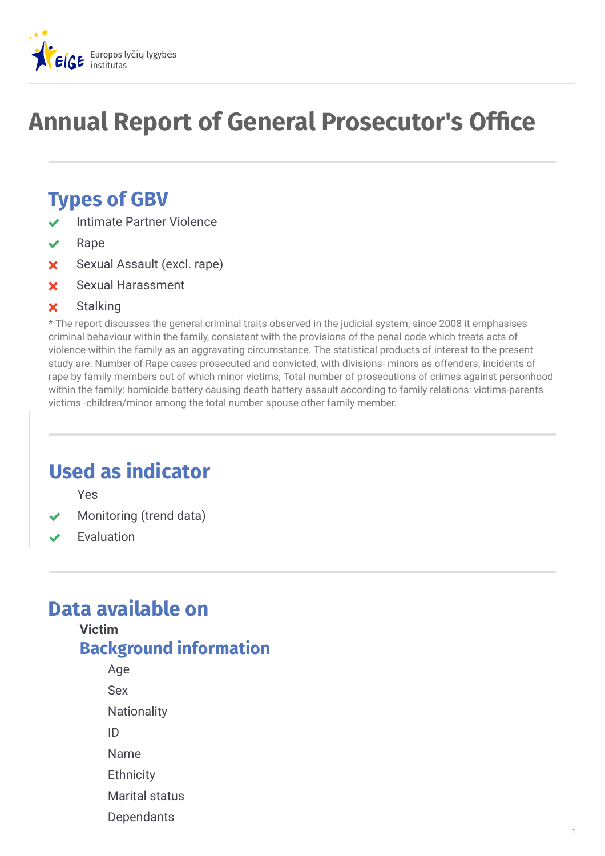

# **Annual Report of General Prosecutor's Office**

## **Types of GBV**

- Intimate Partner Violence
- Rape
- Sexual Assault (excl. rape)
- Sexual Harassment

#### **x** Stalking

\* The report discusses the general criminal traits observed in the judicial system; since 2008 it emphasises criminal behaviour within the family, consistent with the provisions of the penal code which treats acts of violence within the family as an aggravating circumstance. The statistical products of interest to the present study are: Number of Rape cases prosecuted and convicted; with divisions- minors as offenders; incidents of rape by family members out of which minor victims; Total number of prosecutions of crimes against personhood within the family: homicide battery causing death battery assault according to family relations: victims-parents victims -children/minor among the total number spouse other family member.

## **Used as indicator**

Yes

- Monitoring (trend data)
- Evaluation

### **Data available on**

#### **Victim Background information**

- Age Sex **Nationality** ID Name
- **Ethnicity**
- Marital status
- **Dependants**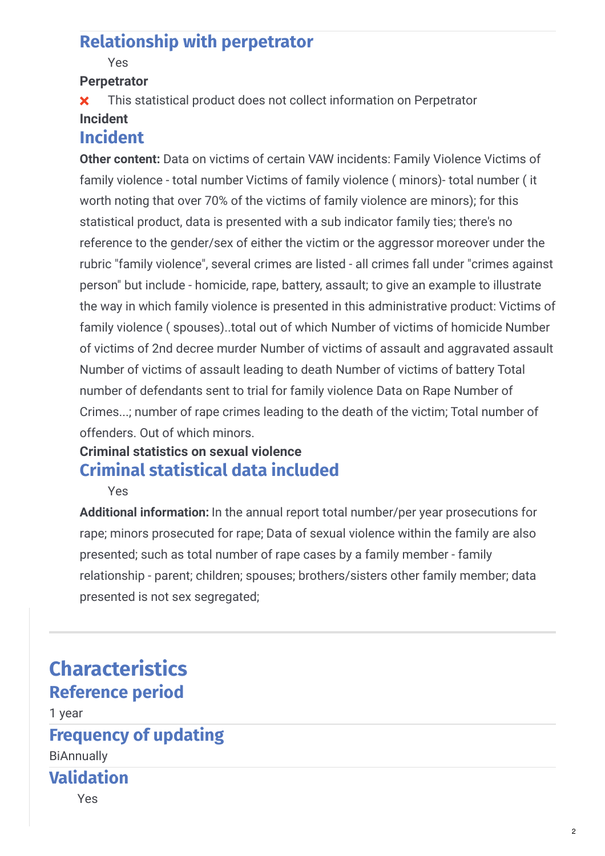#### **Relationship with perpetrator**

#### Yes

#### **Perpetrator**

 This statistical product does not collect information on Perpetrator **Incident**

#### **Incident**

**Other content:** Data on victims of certain VAW incidents: Family Violence Victims of family violence - total number Victims of family violence ( minors)- total number ( it worth noting that over 70% of the victims of family violence are minors); for this statistical product, data is presented with a sub indicator family ties; there's no reference to the gender/sex of either the victim or the aggressor moreover under the rubric "family violence", several crimes are listed - all crimes fall under "crimes against person" but include - homicide, rape, battery, assault; to give an example to illustrate the way in which family violence is presented in this administrative product: Victims of family violence ( spouses)..total out of which Number of victims of homicide Number of victims of 2nd decree murder Number of victims of assault and aggravated assault Number of victims of assault leading to death Number of victims of battery Total number of defendants sent to trial for family violence Data on Rape Number of Crimes...; number of rape crimes leading to the death of the victim; Total number of offenders. Out of which minors.

#### **Criminal statistics on sexual violence Criminal statistical data included**

Yes

**Additional information:** In the annual report total number/per year prosecutions for rape; minors prosecuted for rape; Data of sexual violence within the family are also presented; such as total number of rape cases by a family member - family relationship - parent; children; spouses; brothers/sisters other family member; data presented is not sex segregated;

### **Characteristics Reference period**

1 year

#### **Frequency of updating**

BiΑnnually

#### **Validation**

Yes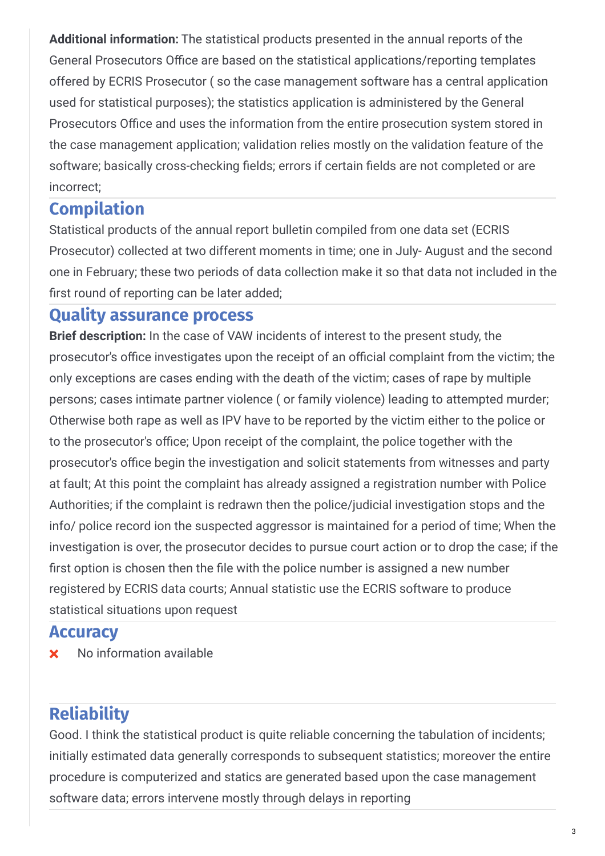**Additional information:** The statistical products presented in the annual reports of the General Prosecutors Office are based on the statistical applications/reporting templates offered by ECRIS Prosecutor ( so the case management software has a central application used for statistical purposes); the statistics application is administered by the General Prosecutors Office and uses the information from the entire prosecution system stored in the case management application; validation relies mostly on the validation feature of the software; basically cross-checking fields; errors if certain fields are not completed or are incorrect;

#### **Compilation**

Statistical products of the annual report bulletin compiled from one data set (ECRIS Prosecutor) collected at two different moments in time; one in July- August and the second one in February; these two periods of data collection make it so that data not included in the first round of reporting can be later added;

#### **Quality assurance process**

**Brief description:** In the case of VAW incidents of interest to the present study, the prosecutor's office investigates upon the receipt of an official complaint from the victim; the only exceptions are cases ending with the death of the victim; cases of rape by multiple persons; cases intimate partner violence ( or family violence) leading to attempted murder; Otherwise both rape as well as IPV have to be reported by the victim either to the police or to the prosecutor's office; Upon receipt of the complaint, the police together with the prosecutor's office begin the investigation and solicit statements from witnesses and party at fault; At this point the complaint has already assigned a registration number with Police Authorities; if the complaint is redrawn then the police/judicial investigation stops and the info/ police record ion the suspected aggressor is maintained for a period of time; When the investigation is over, the prosecutor decides to pursue court action or to drop the case; if the first option is chosen then the file with the police number is assigned a new number registered by ECRIS data courts; Annual statistic use the ECRIS software to produce statistical situations upon request

#### **Accuracy**

**x** No information available

### **Reliability**

Good. I think the statistical product is quite reliable concerning the tabulation of incidents; initially estimated data generally corresponds to subsequent statistics; moreover the entire procedure is computerized and statics are generated based upon the case management software data; errors intervene mostly through delays in reporting